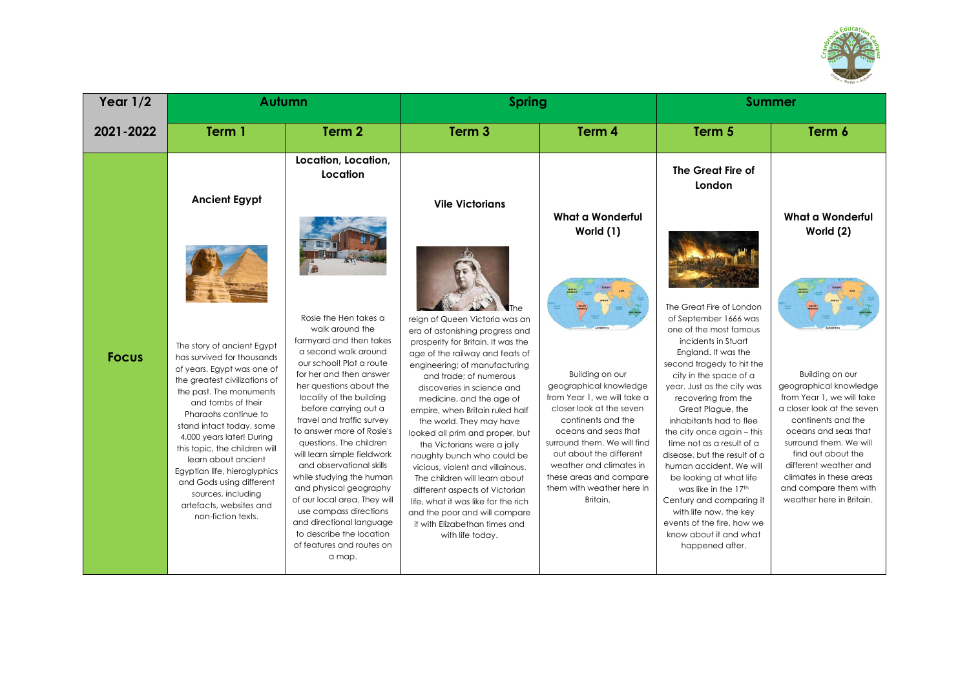

| Year $1/2$   | Autumn                                                                                                                                                                                                                                                                                                                                                                                                                                               |                                                                                                                                                                                                                                                                                                                                                                                                                                                                                                                                                                                                   | <b>Spring</b>                                                                                                                                                                                                                                                                                                                                                                                                                                                                                                                                                                                                                                                      |                                                                                                                                                                                                                                                                                                             | <b>Summer</b>                                                                                                                                                                                                                                                                                                                                                                                                                                                                                                                                                                                   |                                                                                                                                                                                                                                                                                                             |
|--------------|------------------------------------------------------------------------------------------------------------------------------------------------------------------------------------------------------------------------------------------------------------------------------------------------------------------------------------------------------------------------------------------------------------------------------------------------------|---------------------------------------------------------------------------------------------------------------------------------------------------------------------------------------------------------------------------------------------------------------------------------------------------------------------------------------------------------------------------------------------------------------------------------------------------------------------------------------------------------------------------------------------------------------------------------------------------|--------------------------------------------------------------------------------------------------------------------------------------------------------------------------------------------------------------------------------------------------------------------------------------------------------------------------------------------------------------------------------------------------------------------------------------------------------------------------------------------------------------------------------------------------------------------------------------------------------------------------------------------------------------------|-------------------------------------------------------------------------------------------------------------------------------------------------------------------------------------------------------------------------------------------------------------------------------------------------------------|-------------------------------------------------------------------------------------------------------------------------------------------------------------------------------------------------------------------------------------------------------------------------------------------------------------------------------------------------------------------------------------------------------------------------------------------------------------------------------------------------------------------------------------------------------------------------------------------------|-------------------------------------------------------------------------------------------------------------------------------------------------------------------------------------------------------------------------------------------------------------------------------------------------------------|
| 2021-2022    | Term 1                                                                                                                                                                                                                                                                                                                                                                                                                                               | Term 2                                                                                                                                                                                                                                                                                                                                                                                                                                                                                                                                                                                            | Term <sub>3</sub>                                                                                                                                                                                                                                                                                                                                                                                                                                                                                                                                                                                                                                                  | Term 4                                                                                                                                                                                                                                                                                                      | Term 5                                                                                                                                                                                                                                                                                                                                                                                                                                                                                                                                                                                          | Term 6                                                                                                                                                                                                                                                                                                      |
|              | <b>Ancient Egypt</b>                                                                                                                                                                                                                                                                                                                                                                                                                                 | Location, Location,<br>Location                                                                                                                                                                                                                                                                                                                                                                                                                                                                                                                                                                   | <b>Vile Victorians</b>                                                                                                                                                                                                                                                                                                                                                                                                                                                                                                                                                                                                                                             | What a Wonderful<br>World (1)                                                                                                                                                                                                                                                                               | The Great Fire of<br>London                                                                                                                                                                                                                                                                                                                                                                                                                                                                                                                                                                     | What a Wonderful<br>World (2)                                                                                                                                                                                                                                                                               |
| <b>Focus</b> | The story of ancient Egypt<br>has survived for thousands<br>of years. Eaypt was one of<br>the greatest civilizations of<br>the past. The monuments<br>and tombs of their<br>Pharaohs continue to<br>stand intact today, some<br>4,000 years later! During<br>this topic, the children will<br>learn about ancient<br>Egyptian life, hieroglyphics<br>and Gods using different<br>sources, including<br>artefacts, websites and<br>non-fiction texts. | Rosie the Hen takes a<br>walk around the<br>farmyard and then takes<br>a second walk around<br>our school! Plot a route<br>for her and then answer<br>her questions about the<br>locality of the building<br>before carrying out a<br>travel and traffic survey<br>to answer more of Rosie's<br>questions. The children<br>will learn simple fieldwork<br>and observational skills<br>while studying the human<br>and physical geography<br>of our local area. They will<br>use compass directions<br>and directional language<br>to describe the location<br>of features and routes on<br>a map. | reign of Queen Victoria was an<br>era of astonishing progress and<br>prosperity for Britain. It was the<br>age of the railway and feats of<br>engineering; of manufacturing<br>and trade: of numerous<br>discoveries in science and<br>medicine, and the age of<br>empire, when Britain ruled half<br>the world. They may have<br>looked all prim and proper, but<br>the Victorians were a jolly<br>naughty bunch who could be<br>vicious, violent and villainous.<br>The children will learn about<br>different aspects of Victorian<br>life, what it was like for the rich<br>and the poor and will compare<br>it with Elizabethan times and<br>with life today. | Building on our<br>geographical knowledge<br>from Year 1, we will take a<br>closer look at the seven<br>continents and the<br>oceans and seas that<br>surround them. We will find<br>out about the different<br>weather and climates in<br>these areas and compare<br>them with weather here in<br>Britain. | The Great Fire of London<br>of September 1666 was<br>one of the most famous<br>incidents in Stuart<br>England. It was the<br>second tragedy to hit the<br>city in the space of a<br>year. Just as the city was<br>recovering from the<br>Great Plague, the<br>inhabitants had to flee<br>the city once again - this<br>time not as a result of a<br>disease, but the result of a<br>human accident. We will<br>be looking at what life<br>was like in the 17th<br>Century and comparing it<br>with life now, the key<br>events of the fire, how we<br>know about it and what<br>happened after. | Building on our<br>geographical knowledge<br>from Year 1, we will take<br>a closer look at the seven<br>continents and the<br>oceans and seas that<br>surround them. We will<br>find out about the<br>different weather and<br>climates in these areas<br>and compare them with<br>weather here in Britain. |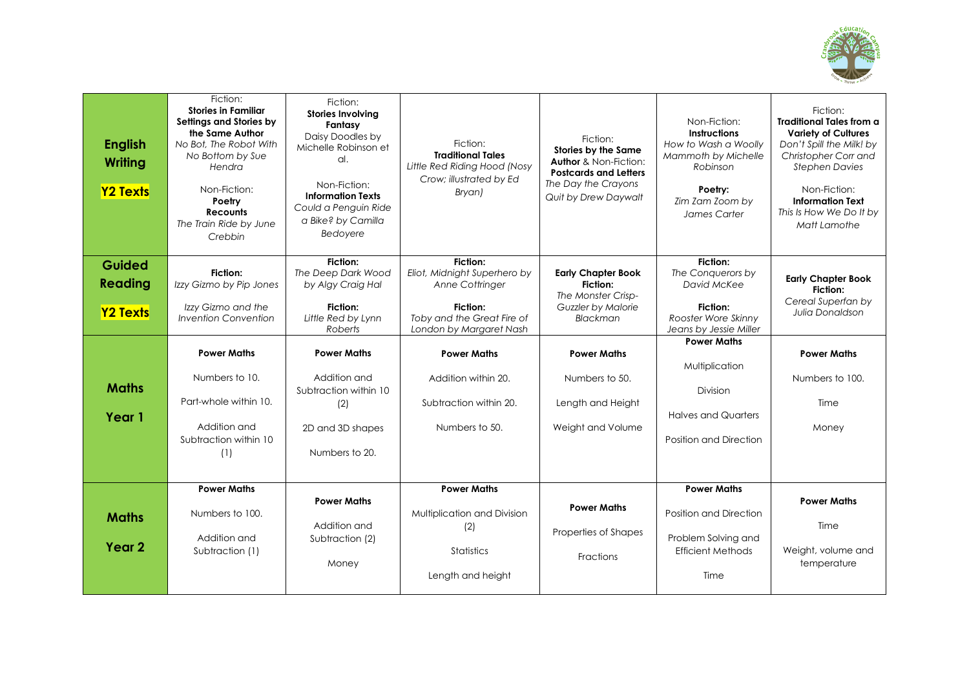

| <b>English</b><br>Writing<br><b>Y2 Texts</b> | Fiction:<br><b>Stories in Familiar</b><br>Settings and Stories by<br>the Same Author<br>No Bot. The Robot With<br>No Bottom by Sue<br>Hendra<br>Non-Fiction:<br>Poetry<br><b>Recounts</b><br>The Train Ride by June<br>Crebbin | Fiction:<br><b>Stories Involving</b><br>Fantasy<br>Daisy Doodles by<br>Michelle Robinson et<br>al.<br>Non-Fiction:<br><b>Information Texts</b><br>Could a Penguin Ride<br>a Bike? by Camilla<br>Bedoyere | Fiction:<br><b>Traditional Tales</b><br>Little Red Riding Hood (Nosy<br>Crow; illustrated by Ed<br>Bryan) | Fiction:<br>Stories by the Same<br><b>Author &amp; Non-Fiction:</b><br><b>Postcards and Letters</b><br>The Day the Crayons<br>Quit by Drew Daywalt | Non-Fiction:<br><b>Instructions</b><br>How to Wash a Woolly<br>Mammoth by Michelle<br>Robinson<br>Poetry:<br>Zim Zam Zoom by<br>James Carter | Fiction:<br><b>Traditional Tales from a</b><br><b>Variety of Cultures</b><br>Don't Spill the Milk! by<br>Christopher Corr and<br><b>Stephen Davies</b><br>Non-Fiction:<br><b>Information Text</b><br>This Is How We Do It by<br>Matt Lamothe |
|----------------------------------------------|--------------------------------------------------------------------------------------------------------------------------------------------------------------------------------------------------------------------------------|----------------------------------------------------------------------------------------------------------------------------------------------------------------------------------------------------------|-----------------------------------------------------------------------------------------------------------|----------------------------------------------------------------------------------------------------------------------------------------------------|----------------------------------------------------------------------------------------------------------------------------------------------|----------------------------------------------------------------------------------------------------------------------------------------------------------------------------------------------------------------------------------------------|
| <b>Guided</b><br><b>Reading</b>              | Fiction:<br>Izzy Gizmo by Pip Jones                                                                                                                                                                                            | Fiction:<br>The Deep Dark Wood<br>by Algy Craig Hal                                                                                                                                                      | <b>Fiction:</b><br>Eliot, Midnight Superhero by<br>Anne Cottringer                                        | <b>Early Chapter Book</b><br>Fiction:<br>The Monster Crisp-                                                                                        | Fiction:<br>The Conquerors by<br>David McKee                                                                                                 | <b>Early Chapter Book</b><br>Fiction:                                                                                                                                                                                                        |
| <b>Y2 Texts</b>                              | Izzy Gizmo and the<br>Invention Convention                                                                                                                                                                                     | Fiction:<br>Little Red by Lynn<br>Roberts                                                                                                                                                                | Fiction:<br>Toby and the Great Fire of<br>London by Margaret Nash                                         | Guzzler by Malorie<br>Blackman                                                                                                                     | Fiction:<br>Rooster Wore Skinny<br>Jeans by Jessie Miller                                                                                    | Cereal Superfan by<br>Julia Donaldson                                                                                                                                                                                                        |
|                                              | <b>Power Maths</b>                                                                                                                                                                                                             | <b>Power Maths</b>                                                                                                                                                                                       | <b>Power Maths</b>                                                                                        | <b>Power Maths</b>                                                                                                                                 | <b>Power Maths</b>                                                                                                                           | <b>Power Maths</b>                                                                                                                                                                                                                           |
| <b>Maths</b>                                 | Numbers to 10.<br>Part-whole within 10.                                                                                                                                                                                        | Addition and<br>Subtraction within 10<br>(2)                                                                                                                                                             | Addition within 20.<br>Subtraction within 20.                                                             | Numbers to 50.<br>Length and Height                                                                                                                | Multiplication<br>Division                                                                                                                   | Numbers to 100.<br>Time                                                                                                                                                                                                                      |
| Year 1                                       | Addition and<br>Subtraction within 10<br>(1)                                                                                                                                                                                   | 2D and 3D shapes<br>Numbers to 20.                                                                                                                                                                       | Numbers to 50.                                                                                            | Weight and Volume                                                                                                                                  | <b>Halves and Quarters</b><br>Position and Direction                                                                                         | Money                                                                                                                                                                                                                                        |
|                                              | <b>Power Maths</b>                                                                                                                                                                                                             |                                                                                                                                                                                                          | <b>Power Maths</b>                                                                                        |                                                                                                                                                    | <b>Power Maths</b>                                                                                                                           |                                                                                                                                                                                                                                              |
| <b>Maths</b>                                 | Numbers to 100.<br>Addition and                                                                                                                                                                                                | <b>Power Maths</b><br>Addition and<br>Subtraction (2)                                                                                                                                                    | Multiplication and Division<br>(2)                                                                        | <b>Power Maths</b><br>Properties of Shapes                                                                                                         | Position and Direction<br>Problem Solving and                                                                                                | <b>Power Maths</b><br>Time                                                                                                                                                                                                                   |
| Year <sub>2</sub>                            | Subtraction (1)                                                                                                                                                                                                                | Money                                                                                                                                                                                                    | Statistics<br>Length and height                                                                           | <b>Fractions</b>                                                                                                                                   | <b>Efficient Methods</b><br>Time                                                                                                             | Weight, volume and<br>temperature                                                                                                                                                                                                            |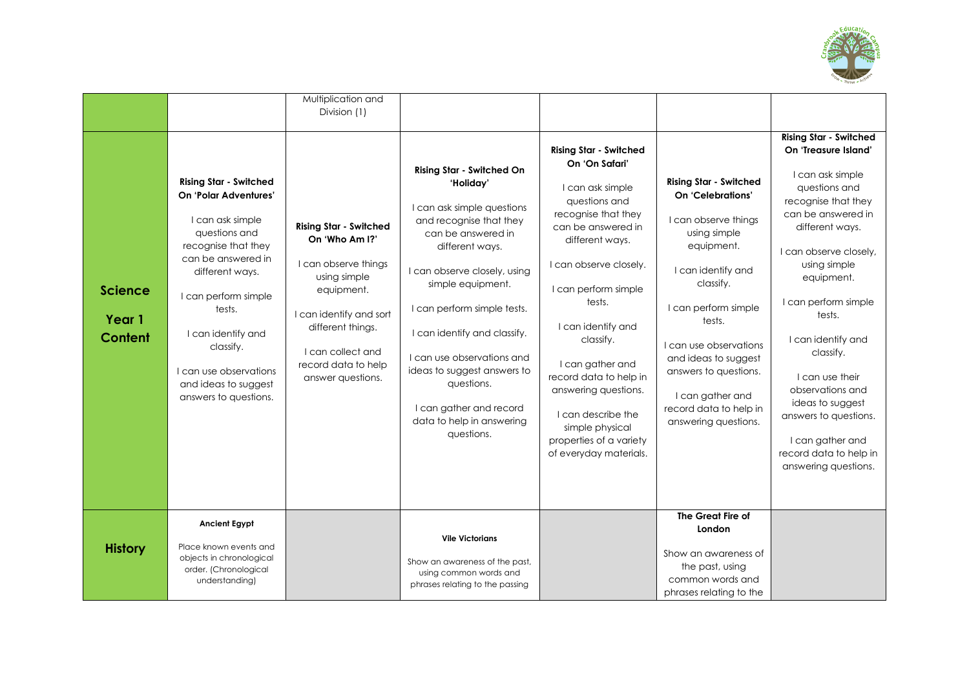

| <b>Science</b><br>Year 1<br><b>Content</b> | <b>Rising Star - Switched</b><br>On 'Polar Adventures'<br>I can ask simple<br>questions and<br>recognise that they<br>can be answered in<br>different ways.<br>I can perform simple<br>tests.<br>I can identify and<br>classify.<br>I can use observations<br>and ideas to suggest<br>answers to questions. | Multiplication and<br>Division (1)<br><b>Rising Star - Switched</b><br>On 'Who Am I?'<br>I can observe things<br>using simple<br>equipment.<br>I can identify and sort<br>different things.<br>I can collect and<br>record data to help<br>answer questions. | <b>Rising Star - Switched On</b><br>'Holiday'<br>I can ask simple questions<br>and recognise that they<br>can be answered in<br>different ways.<br>I can observe closely, using<br>simple equipment.<br>I can perform simple tests.<br>I can identify and classify.<br>I can use observations and<br>ideas to suggest answers to<br>questions.<br>I can gather and record<br>data to help in answering<br>questions. | <b>Rising Star - Switched</b><br>On 'On Safari'<br>I can ask simple<br>questions and<br>recognise that they<br>can be answered in<br>different ways.<br>I can observe closely.<br>I can perform simple<br>tests.<br>I can identify and<br>classify.<br>I can gather and<br>record data to help in<br>answering questions.<br>I can describe the<br>simple physical<br>properties of a variety<br>of everyday materials. | <b>Rising Star - Switched</b><br>On 'Celebrations'<br>I can observe things<br>using simple<br>equipment.<br>I can identify and<br>classify.<br>I can perform simple<br>tests.<br>I can use observations<br>and ideas to suggest<br>answers to questions.<br>I can gather and<br>record data to help in<br>answering questions. | <b>Rising Star - Switched</b><br>On 'Treasure Island'<br>I can ask simple<br>questions and<br>recognise that they<br>can be answered in<br>different ways.<br>I can observe closely,<br>using simple<br>equipment.<br>I can perform simple<br>tests.<br>I can identify and<br>classify.<br>I can use their<br>observations and<br>ideas to suggest<br>answers to questions.<br>I can gather and<br>record data to help in<br>answering questions. |
|--------------------------------------------|-------------------------------------------------------------------------------------------------------------------------------------------------------------------------------------------------------------------------------------------------------------------------------------------------------------|--------------------------------------------------------------------------------------------------------------------------------------------------------------------------------------------------------------------------------------------------------------|----------------------------------------------------------------------------------------------------------------------------------------------------------------------------------------------------------------------------------------------------------------------------------------------------------------------------------------------------------------------------------------------------------------------|-------------------------------------------------------------------------------------------------------------------------------------------------------------------------------------------------------------------------------------------------------------------------------------------------------------------------------------------------------------------------------------------------------------------------|--------------------------------------------------------------------------------------------------------------------------------------------------------------------------------------------------------------------------------------------------------------------------------------------------------------------------------|---------------------------------------------------------------------------------------------------------------------------------------------------------------------------------------------------------------------------------------------------------------------------------------------------------------------------------------------------------------------------------------------------------------------------------------------------|
| <b>History</b>                             | <b>Ancient Egypt</b><br>Place known events and<br>objects in chronological<br>order. (Chronological<br>understanding)                                                                                                                                                                                       |                                                                                                                                                                                                                                                              | <b>Vile Victorians</b><br>Show an awareness of the past,<br>using common words and<br>phrases relating to the passing                                                                                                                                                                                                                                                                                                |                                                                                                                                                                                                                                                                                                                                                                                                                         | The Great Fire of<br>London<br>Show an awareness of<br>the past, using<br>common words and<br>phrases relating to the                                                                                                                                                                                                          |                                                                                                                                                                                                                                                                                                                                                                                                                                                   |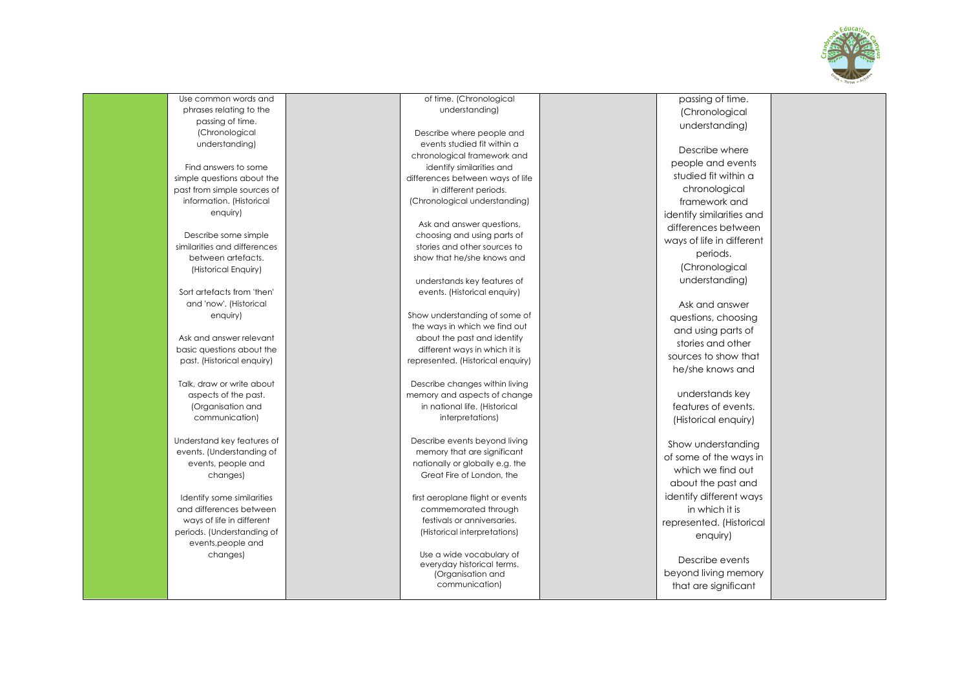

Use common words and phrases relating to the passing of time. (Chronological understanding)

Find answers to some simple questions about the past from simple sources of information. (Historical enquiry)

Describe some simple similarities and differences between artefacts. (Historical Enquiry)

Sort artefacts from 'then' and 'now'. (Historical enquiry)

Ask and answer relevant basic questions about the past. (Historical enquiry)

Talk, draw or write about aspects of the past. (Organisation and communication)

Understand key features of events. (Understanding of events, people and changes)

Identify some similarities and differences between ways of life in different periods. (Understanding of events,people and changes)

of time. (Chronological understanding)

Describe where people and events studied fit within a chronological framework and identify similarities and differences between ways of life in different periods. (Chronological understanding)

Ask and answer questions, choosing and using parts of stories and other sources to show that he/she knows and

understands key features of events. (Historical enquiry)

Show understanding of some of the ways in which we find out about the past and identify different ways in which it is represented. (Historical enquiry)

Describe changes within living memory and aspects of change in national life. (Historical interpretations)

Describe events beyond living memory that are significant nationally or globally e.g. the Great Fire of London, the

first aeroplane flight or events commemorated through festivals or anniversaries. (Historical interpretations)

Use a wide vocabulary of everyday historical terms. (Organisation and communication)

passing of time. (Chronological understanding)

Describe where people and events studied fit within a chronological framework and identify similarities and differences between ways of life in different periods. (Chronological understanding)

Ask and answer questions, choosing and using parts of stories and other sources to show that he/she knows and

understands key features of events. (Historical enquiry)

Show understanding of some of the ways in which we find out about the past and identify different ways in which it is represented. (Historical enquiry)

Describe events beyond living memory that are significant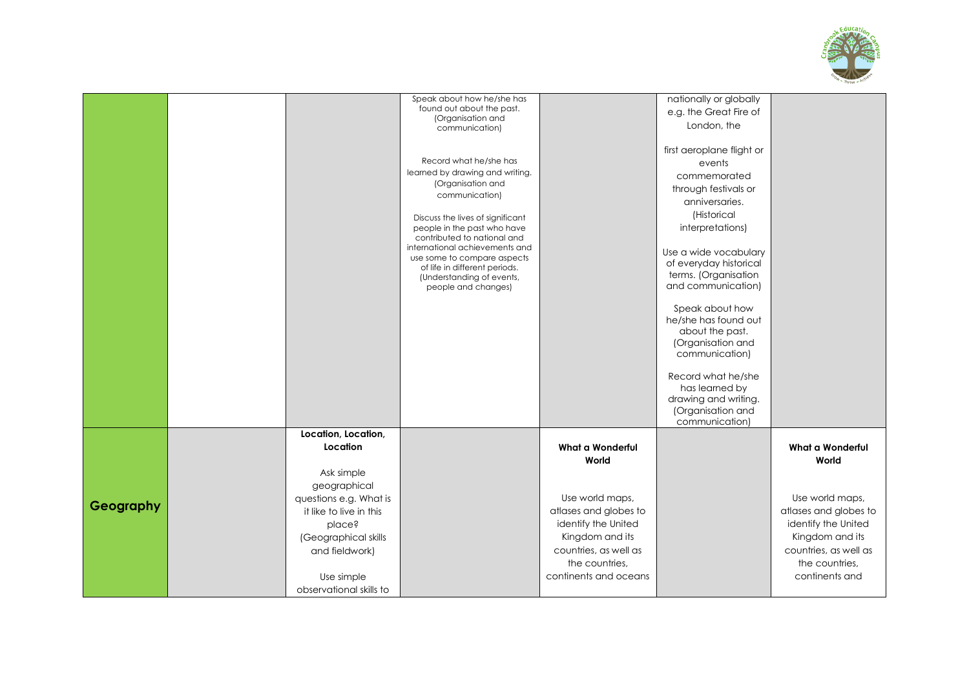

|           |                         | Speak about how he/she has                                   |                         | nationally or globally                  |                       |
|-----------|-------------------------|--------------------------------------------------------------|-------------------------|-----------------------------------------|-----------------------|
|           |                         | found out about the past.                                    |                         | e.g. the Great Fire of                  |                       |
|           |                         | (Organisation and                                            |                         | London, the                             |                       |
|           |                         | communication)                                               |                         |                                         |                       |
|           |                         |                                                              |                         | first aeroplane flight or               |                       |
|           |                         | Record what he/she has                                       |                         | events                                  |                       |
|           |                         | learned by drawing and writing.                              |                         | commemorated                            |                       |
|           |                         | (Organisation and                                            |                         | through festivals or                    |                       |
|           |                         | communication)                                               |                         | anniversaries.                          |                       |
|           |                         |                                                              |                         | (Historical                             |                       |
|           |                         | Discuss the lives of significant                             |                         |                                         |                       |
|           |                         | people in the past who have<br>contributed to national and   |                         | interpretations)                        |                       |
|           |                         | international achievements and                               |                         | Use a wide vocabulary                   |                       |
|           |                         | use some to compare aspects<br>of life in different periods. |                         | of everyday historical                  |                       |
|           |                         | (Understanding of events,                                    |                         | terms. (Organisation                    |                       |
|           |                         | people and changes)                                          |                         | and communication)                      |                       |
|           |                         |                                                              |                         |                                         |                       |
|           |                         |                                                              |                         | Speak about how                         |                       |
|           |                         |                                                              |                         | he/she has found out<br>about the past. |                       |
|           |                         |                                                              |                         | (Organisation and                       |                       |
|           |                         |                                                              |                         | communication)                          |                       |
|           |                         |                                                              |                         |                                         |                       |
|           |                         |                                                              |                         | Record what he/she                      |                       |
|           |                         |                                                              |                         | has learned by                          |                       |
|           |                         |                                                              |                         | drawing and writing.                    |                       |
|           |                         |                                                              |                         | (Organisation and                       |                       |
|           |                         |                                                              |                         | communication)                          |                       |
|           | Location, Location,     |                                                              |                         |                                         |                       |
|           | Location                |                                                              | <b>What a Wonderful</b> |                                         | What a Wonderful      |
|           |                         |                                                              | World                   |                                         | World                 |
|           | Ask simple              |                                                              |                         |                                         |                       |
|           | geographical            |                                                              |                         |                                         |                       |
| Geography | questions e.g. What is  |                                                              | Use world maps,         |                                         | Use world maps,       |
|           | it like to live in this |                                                              | atlases and globes to   |                                         | atlases and globes to |
|           | place?                  |                                                              | identify the United     |                                         | identify the United   |
|           | (Geographical skills    |                                                              | Kingdom and its         |                                         | Kingdom and its       |
|           | and fieldwork)          |                                                              | countries, as well as   |                                         | countries, as well as |
|           |                         |                                                              | the countries,          |                                         | the countries,        |
|           | Use simple              |                                                              | continents and oceans   |                                         | continents and        |
|           | observational skills to |                                                              |                         |                                         |                       |
|           |                         |                                                              |                         |                                         |                       |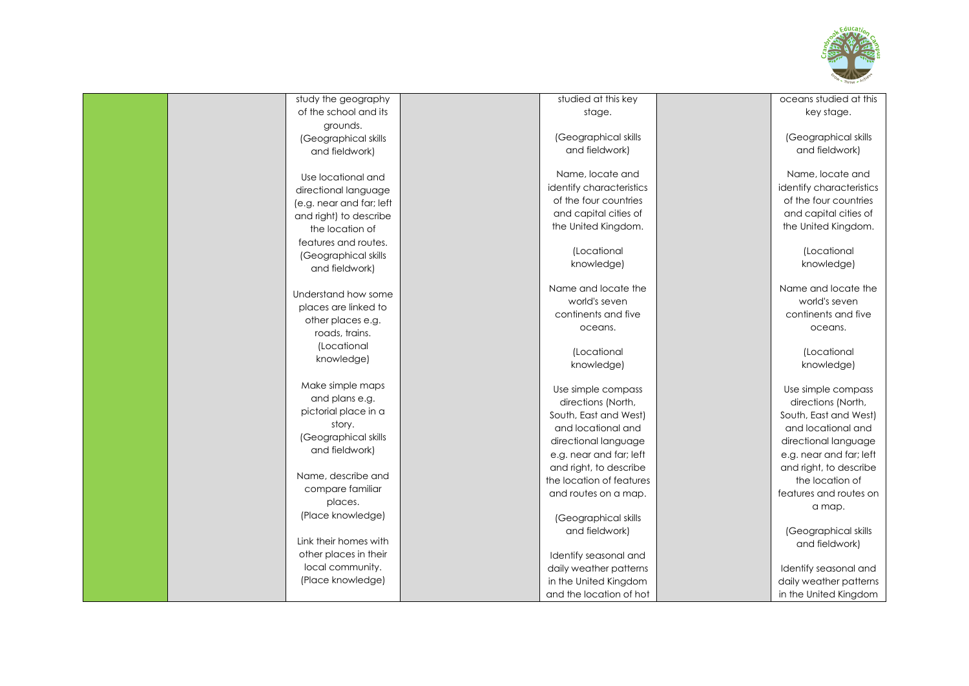

| study the geography      | studied at this key      | oceans studied at this   |
|--------------------------|--------------------------|--------------------------|
| of the school and its    | stage.                   | key stage.               |
| grounds.                 |                          |                          |
| (Geographical skills     | (Geographical skills     | (Geographical skills     |
| and fieldwork)           | and fieldwork)           | and fieldwork)           |
|                          |                          |                          |
| Use locational and       | Name, locate and         | Name, locate and         |
| directional language     | identify characteristics | identify characteristics |
| (e.g. near and far; left | of the four countries    | of the four countries    |
|                          | and capital cities of    | and capital cities of    |
| and right) to describe   | the United Kingdom.      | the United Kingdom.      |
| the location of          |                          |                          |
| features and routes.     | (Locational              | (Locational              |
| (Geographical skills     | knowledge)               | knowledge)               |
| and fieldwork)           |                          |                          |
|                          | Name and locate the      | Name and locate the      |
| Understand how some      | world's seven            | world's seven            |
| places are linked to     | continents and five      | continents and five      |
| other places e.g.        |                          |                          |
| roads, trains.           | oceans.                  | oceans.                  |
| (Locational              |                          |                          |
| knowledge)               | (Locational              | (Locational              |
|                          | knowledge)               | knowledge)               |
| Make simple maps         | Use simple compass       | Use simple compass       |
| and plans e.g.           | directions (North,       | directions (North,       |
| pictorial place in a     | South, East and West)    | South, East and West)    |
| story.                   | and locational and       | and locational and       |
| (Geographical skills     |                          |                          |
| and fieldwork)           | directional language     | directional language     |
|                          | e.g. near and far; left  | e.g. near and far; left  |
| Name, describe and       | and right, to describe   | and right, to describe   |
| compare familiar         | the location of features | the location of          |
| places.                  | and routes on a map.     | features and routes on   |
|                          |                          | a map.                   |
| (Place knowledge)        | (Geographical skills     |                          |
|                          | and fieldwork)           | (Geographical skills     |
| Link their homes with    |                          | and fieldwork)           |
| other places in their    | Identify seasonal and    |                          |
| local community.         | daily weather patterns   | Identify seasonal and    |
| (Place knowledge)        | in the United Kingdom    | daily weather patterns   |
|                          | and the location of hot  | in the United Kingdom    |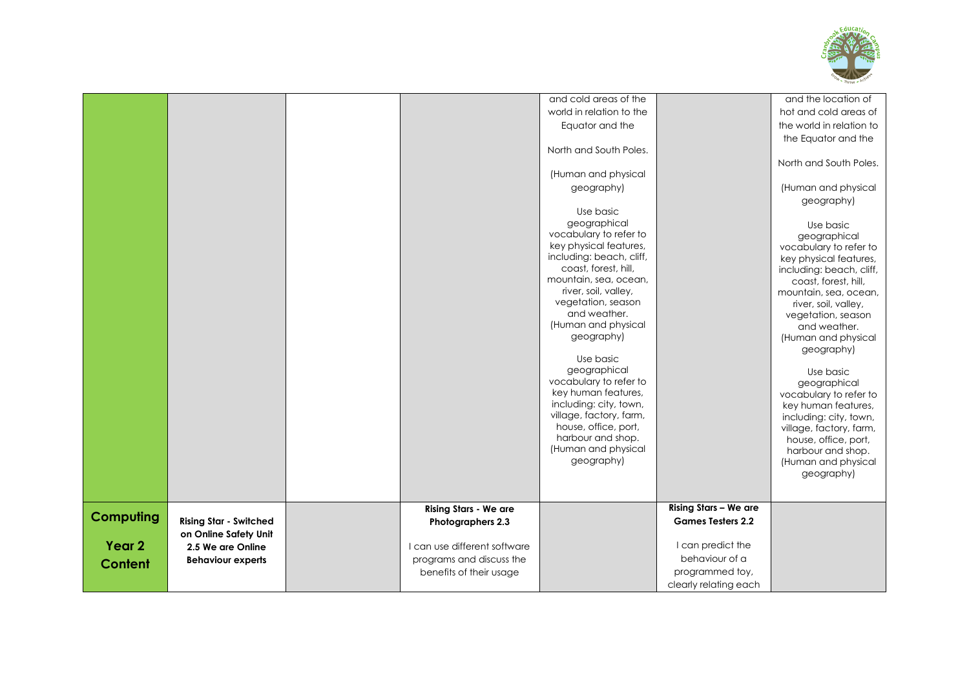

|                   |                               |                              | and cold areas of the                      |                          | and the location of                |
|-------------------|-------------------------------|------------------------------|--------------------------------------------|--------------------------|------------------------------------|
|                   |                               |                              | world in relation to the                   |                          | hot and cold areas of              |
|                   |                               |                              | Equator and the                            |                          | the world in relation to           |
|                   |                               |                              |                                            |                          | the Equator and the                |
|                   |                               |                              | North and South Poles.                     |                          |                                    |
|                   |                               |                              |                                            |                          | North and South Poles.             |
|                   |                               |                              | (Human and physical                        |                          |                                    |
|                   |                               |                              | geography)                                 |                          | (Human and physical                |
|                   |                               |                              |                                            |                          | geography)                         |
|                   |                               |                              | Use basic                                  |                          |                                    |
|                   |                               |                              | geographical                               |                          | Use basic                          |
|                   |                               |                              | vocabulary to refer to                     |                          | geographical                       |
|                   |                               |                              | key physical features,                     |                          | vocabulary to refer to             |
|                   |                               |                              | including: beach, cliff,                   |                          | key physical features,             |
|                   |                               |                              | coast, forest, hill,                       |                          | including: beach, cliff,           |
|                   |                               |                              | mountain, sea, ocean,                      |                          | coast, forest, hill,               |
|                   |                               |                              | river, soil, valley,<br>vegetation, season |                          | mountain, sea, ocean,              |
|                   |                               |                              | and weather.                               |                          | river, soil, valley,               |
|                   |                               |                              | (Human and physical                        |                          | vegetation, season<br>and weather. |
|                   |                               |                              | geography)                                 |                          | (Human and physical                |
|                   |                               |                              |                                            |                          | geography)                         |
|                   |                               |                              | Use basic                                  |                          |                                    |
|                   |                               |                              | geographical                               |                          | Use basic                          |
|                   |                               |                              | vocabulary to refer to                     |                          | geographical                       |
|                   |                               |                              | key human features,                        |                          | vocabulary to refer to             |
|                   |                               |                              | including: city, town,                     |                          | key human features,                |
|                   |                               |                              | village, factory, farm,                    |                          | including: city, town,             |
|                   |                               |                              | house, office, port,                       |                          | village, factory, farm,            |
|                   |                               |                              | harbour and shop.                          |                          | house, office, port,               |
|                   |                               |                              | (Human and physical                        |                          | harbour and shop.                  |
|                   |                               |                              | geography)                                 |                          | (Human and physical                |
|                   |                               |                              |                                            |                          | geography)                         |
|                   |                               |                              |                                            |                          |                                    |
|                   |                               | Rising Stars - We are        |                                            | Rising Stars - We are    |                                    |
| <b>Computing</b>  | <b>Rising Star - Switched</b> | Photographers 2.3            |                                            | <b>Games Testers 2.2</b> |                                    |
|                   | on Online Safety Unit         |                              |                                            |                          |                                    |
| Year <sub>2</sub> | 2.5 We are Online             | I can use different software |                                            | I can predict the        |                                    |
|                   | <b>Behaviour experts</b>      | programs and discuss the     |                                            | behaviour of a           |                                    |
| <b>Content</b>    |                               | benefits of their usage      |                                            | programmed toy,          |                                    |
|                   |                               |                              |                                            | clearly relating each    |                                    |
|                   |                               |                              |                                            |                          |                                    |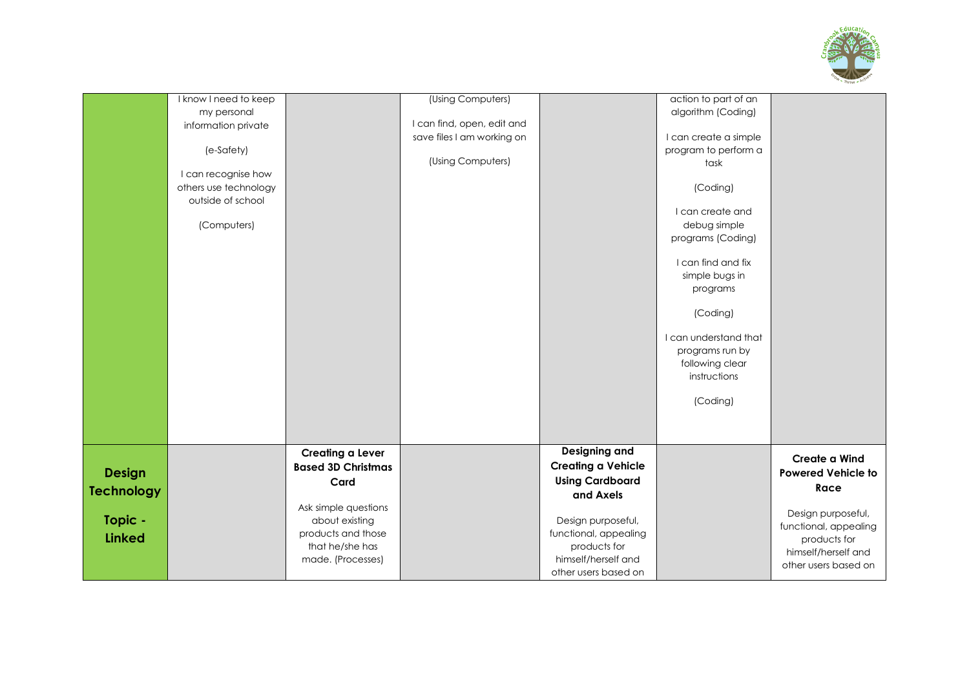

|                   | I know I need to keep |                           | (Using Computers)          |                           | action to part of an  |                                             |
|-------------------|-----------------------|---------------------------|----------------------------|---------------------------|-----------------------|---------------------------------------------|
|                   | my personal           |                           |                            |                           | algorithm (Coding)    |                                             |
|                   | information private   |                           | I can find, open, edit and |                           |                       |                                             |
|                   |                       |                           | save files I am working on |                           | I can create a simple |                                             |
|                   | (e-Safety)            |                           |                            |                           | program to perform a  |                                             |
|                   |                       |                           | (Using Computers)          |                           | task                  |                                             |
|                   | I can recognise how   |                           |                            |                           |                       |                                             |
|                   | others use technology |                           |                            |                           | (Coding)              |                                             |
|                   | outside of school     |                           |                            |                           | I can create and      |                                             |
|                   | (Computers)           |                           |                            |                           | debug simple          |                                             |
|                   |                       |                           |                            |                           | programs (Coding)     |                                             |
|                   |                       |                           |                            |                           |                       |                                             |
|                   |                       |                           |                            |                           | I can find and fix    |                                             |
|                   |                       |                           |                            |                           | simple bugs in        |                                             |
|                   |                       |                           |                            |                           | programs              |                                             |
|                   |                       |                           |                            |                           |                       |                                             |
|                   |                       |                           |                            |                           | (Coding)              |                                             |
|                   |                       |                           |                            |                           | I can understand that |                                             |
|                   |                       |                           |                            |                           | programs run by       |                                             |
|                   |                       |                           |                            |                           | following clear       |                                             |
|                   |                       |                           |                            |                           | instructions          |                                             |
|                   |                       |                           |                            |                           |                       |                                             |
|                   |                       |                           |                            |                           | (Coding)              |                                             |
|                   |                       |                           |                            |                           |                       |                                             |
|                   |                       |                           |                            |                           |                       |                                             |
|                   |                       | Creating a Lever          |                            | Designing and             |                       |                                             |
|                   |                       | <b>Based 3D Christmas</b> |                            | <b>Creating a Vehicle</b> |                       | Create a Wind                               |
| <b>Design</b>     |                       |                           |                            | <b>Using Cardboard</b>    |                       | <b>Powered Vehicle to</b>                   |
| <b>Technology</b> |                       | Card                      |                            | and Axels                 |                       | Race                                        |
|                   |                       | Ask simple questions      |                            |                           |                       |                                             |
| Topic -           |                       | about existing            |                            | Design purposeful,        |                       | Design purposeful,                          |
| <b>Linked</b>     |                       | products and those        |                            | functional, appealing     |                       | functional, appealing                       |
|                   |                       | that he/she has           |                            | products for              |                       | products for                                |
|                   |                       | made. (Processes)         |                            | himself/herself and       |                       | himself/herself and<br>other users based on |
|                   |                       |                           |                            | other users based on      |                       |                                             |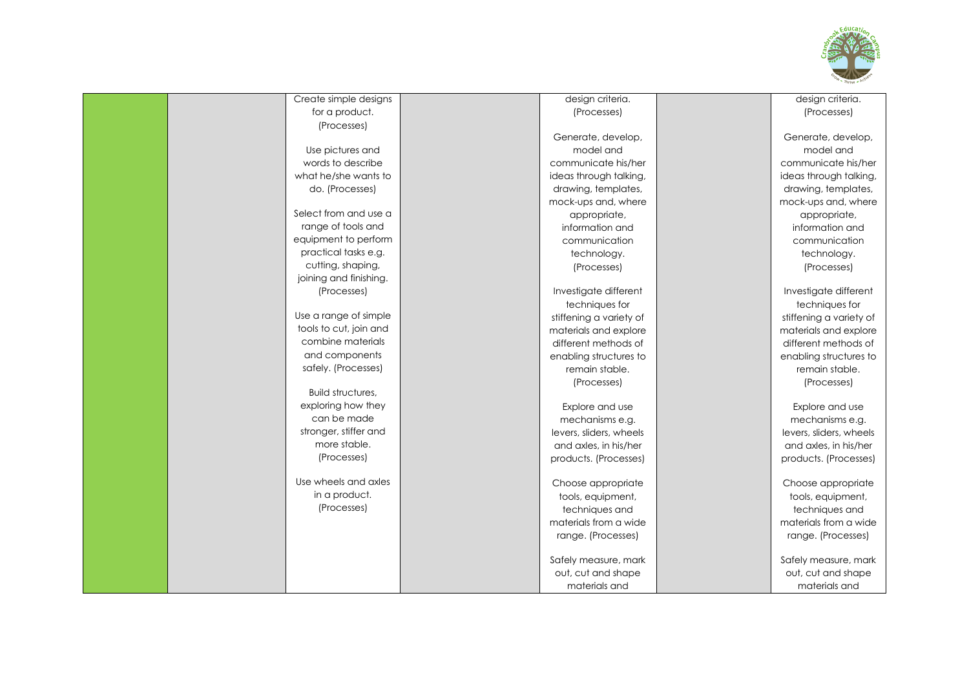

| Create simple designs  | design criteria.        | design criteria.        |
|------------------------|-------------------------|-------------------------|
| for a product.         | (Processes)             | (Processes)             |
| (Processes)            |                         |                         |
|                        | Generate, develop,      | Generate, develop,      |
| Use pictures and       | model and               | model and               |
| words to describe      | communicate his/her     | communicate his/her     |
| what he/she wants to   | ideas through talking,  | ideas through talking,  |
| do. (Processes)        | drawing, templates,     | drawing, templates,     |
|                        | mock-ups and, where     | mock-ups and, where     |
| Select from and use a  | appropriate,            | appropriate,            |
| range of tools and     | information and         | information and         |
| equipment to perform   | communication           | communication           |
| practical tasks e.g.   | technology.             | technology.             |
| cutting, shaping,      | (Processes)             | (Processes)             |
| joining and finishing. |                         |                         |
| (Processes)            | Investigate different   | Investigate different   |
|                        | techniques for          | techniques for          |
| Use a range of simple  | stiffening a variety of | stiffening a variety of |
| tools to cut, join and | materials and explore   | materials and explore   |
| combine materials      | different methods of    | different methods of    |
| and components         | enabling structures to  | enabling structures to  |
| safely. (Processes)    | remain stable.          | remain stable.          |
|                        | (Processes)             | (Processes)             |
| Build structures,      |                         |                         |
| exploring how they     | Explore and use         | Explore and use         |
| can be made            | mechanisms e.g.         | mechanisms e.g.         |
| stronger, stiffer and  | levers, sliders, wheels | levers, sliders, wheels |
| more stable.           | and axles, in his/her   | and axles, in his/her   |
| (Processes)            | products. (Processes)   | products. (Processes)   |
| Use wheels and axles   | Choose appropriate      | Choose appropriate      |
| in a product.          | tools, equipment,       | tools, equipment,       |
| (Processes)            | techniques and          | techniques and          |
|                        | materials from a wide   | materials from a wide   |
|                        | range. (Processes)      | range. (Processes)      |
|                        | Safely measure, mark    | Safely measure, mark    |
|                        | out, cut and shape      | out, cut and shape      |
|                        | materials and           | materials and           |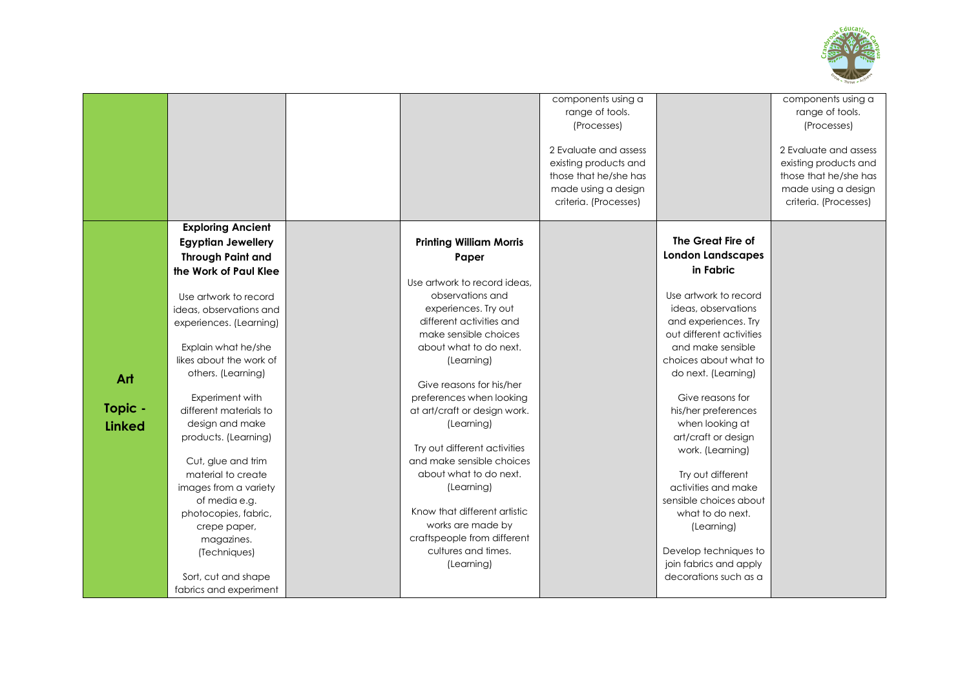

|               |                                           |                                                          | components using a<br>range of tools.<br>(Processes)<br>2 Evaluate and assess<br>existing products and<br>those that he/she has<br>made using a design<br>criteria. (Processes) |                          | components using a<br>range of tools.<br>(Processes)<br>2 Evaluate and assess<br>existing products and<br>those that he/she has<br>made using a design<br>criteria. (Processes) |
|---------------|-------------------------------------------|----------------------------------------------------------|---------------------------------------------------------------------------------------------------------------------------------------------------------------------------------|--------------------------|---------------------------------------------------------------------------------------------------------------------------------------------------------------------------------|
|               | <b>Exploring Ancient</b>                  |                                                          |                                                                                                                                                                                 |                          |                                                                                                                                                                                 |
|               | <b>Egyptian Jewellery</b>                 | <b>Printing William Morris</b>                           |                                                                                                                                                                                 | The Great Fire of        |                                                                                                                                                                                 |
|               | <b>Through Paint and</b>                  | Paper                                                    |                                                                                                                                                                                 | <b>London Landscapes</b> |                                                                                                                                                                                 |
|               | the Work of Paul Klee                     | Use artwork to record ideas.                             |                                                                                                                                                                                 | in Fabric                |                                                                                                                                                                                 |
|               | Use artwork to record                     | observations and                                         |                                                                                                                                                                                 | Use artwork to record    |                                                                                                                                                                                 |
|               | ideas, observations and                   | experiences. Try out                                     |                                                                                                                                                                                 | ideas, observations      |                                                                                                                                                                                 |
|               | experiences. (Learning)                   | different activities and                                 |                                                                                                                                                                                 | and experiences. Try     |                                                                                                                                                                                 |
|               |                                           | make sensible choices                                    |                                                                                                                                                                                 | out different activities |                                                                                                                                                                                 |
|               | Explain what he/she                       | about what to do next.                                   |                                                                                                                                                                                 | and make sensible        |                                                                                                                                                                                 |
|               | likes about the work of                   | (Learning)                                               |                                                                                                                                                                                 | choices about what to    |                                                                                                                                                                                 |
| Art           | others. (Learning)                        |                                                          |                                                                                                                                                                                 | do next. (Learning)      |                                                                                                                                                                                 |
|               |                                           | Give reasons for his/her                                 |                                                                                                                                                                                 | Give reasons for         |                                                                                                                                                                                 |
| Topic -       | Experiment with<br>different materials to | preferences when looking<br>at art/craft or design work. |                                                                                                                                                                                 | his/her preferences      |                                                                                                                                                                                 |
| <b>Linked</b> | design and make                           | (Learning)                                               |                                                                                                                                                                                 | when looking at          |                                                                                                                                                                                 |
|               | products. (Learning)                      |                                                          |                                                                                                                                                                                 | art/craft or design      |                                                                                                                                                                                 |
|               |                                           | Try out different activities                             |                                                                                                                                                                                 | work. (Learning)         |                                                                                                                                                                                 |
|               | Cut, glue and trim                        | and make sensible choices                                |                                                                                                                                                                                 |                          |                                                                                                                                                                                 |
|               | material to create                        | about what to do next.                                   |                                                                                                                                                                                 | Try out different        |                                                                                                                                                                                 |
|               | images from a variety                     | (Learning)                                               |                                                                                                                                                                                 | activities and make      |                                                                                                                                                                                 |
|               | of media e.g.                             |                                                          |                                                                                                                                                                                 | sensible choices about   |                                                                                                                                                                                 |
|               | photocopies, fabric,                      | Know that different artistic                             |                                                                                                                                                                                 | what to do next.         |                                                                                                                                                                                 |
|               | crepe paper,                              | works are made by<br>craftspeople from different         |                                                                                                                                                                                 | (Learning)               |                                                                                                                                                                                 |
|               | magazines.<br>(Techniques)                | cultures and times.                                      |                                                                                                                                                                                 | Develop techniques to    |                                                                                                                                                                                 |
|               |                                           | (Learning)                                               |                                                                                                                                                                                 | join fabrics and apply   |                                                                                                                                                                                 |
|               | Sort, cut and shape                       |                                                          |                                                                                                                                                                                 | decorations such as a    |                                                                                                                                                                                 |
|               | fabrics and experiment                    |                                                          |                                                                                                                                                                                 |                          |                                                                                                                                                                                 |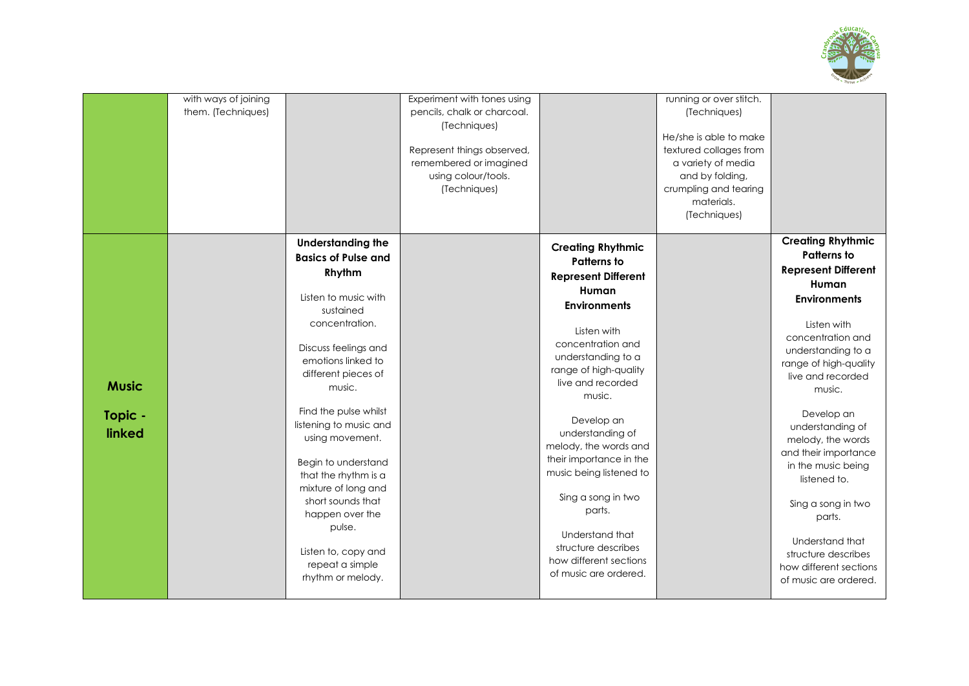

|                                   | with ways of joining<br>them. (Techniques) |                                                                                                                                                                                                                                                                                                                                                                                                                                                                     | Experiment with tones using<br>pencils, chalk or charcoal.<br>(Techniques)<br>Represent things observed,<br>remembered or imagined<br>using colour/tools.<br>(Techniques) |                                                                                                                                                                                                                                                                                                                                                                                                                                                                              | running or over stitch.<br>(Techniques)<br>He/she is able to make<br>textured collages from<br>a variety of media<br>and by folding,<br>crumpling and tearing<br>materials.<br>(Techniques) |                                                                                                                                                                                                                                                                                                                                                                                                                                                                                  |
|-----------------------------------|--------------------------------------------|---------------------------------------------------------------------------------------------------------------------------------------------------------------------------------------------------------------------------------------------------------------------------------------------------------------------------------------------------------------------------------------------------------------------------------------------------------------------|---------------------------------------------------------------------------------------------------------------------------------------------------------------------------|------------------------------------------------------------------------------------------------------------------------------------------------------------------------------------------------------------------------------------------------------------------------------------------------------------------------------------------------------------------------------------------------------------------------------------------------------------------------------|---------------------------------------------------------------------------------------------------------------------------------------------------------------------------------------------|----------------------------------------------------------------------------------------------------------------------------------------------------------------------------------------------------------------------------------------------------------------------------------------------------------------------------------------------------------------------------------------------------------------------------------------------------------------------------------|
| <b>Music</b><br>Topic -<br>linked |                                            | <b>Understanding the</b><br><b>Basics of Pulse and</b><br>Rhythm<br>Listen to music with<br>sustained<br>concentration.<br>Discuss feelings and<br>emotions linked to<br>different pieces of<br>music.<br>Find the pulse whilst<br>listening to music and<br>using movement.<br>Begin to understand<br>that the rhythm is a<br>mixture of long and<br>short sounds that<br>happen over the<br>pulse.<br>Listen to, copy and<br>repeat a simple<br>rhythm or melody. |                                                                                                                                                                           | <b>Creating Rhythmic</b><br><b>Patterns to</b><br><b>Represent Different</b><br>Human<br><b>Environments</b><br>Listen with<br>concentration and<br>understanding to a<br>range of high-quality<br>live and recorded<br>music.<br>Develop an<br>understanding of<br>melody, the words and<br>their importance in the<br>music being listened to<br>Sing a song in two<br>parts.<br>Understand that<br>structure describes<br>how different sections<br>of music are ordered. |                                                                                                                                                                                             | <b>Creating Rhythmic</b><br><b>Patterns to</b><br><b>Represent Different</b><br>Human<br><b>Environments</b><br>Listen with<br>concentration and<br>understanding to a<br>range of high-quality<br>live and recorded<br>music.<br>Develop an<br>understanding of<br>melody, the words<br>and their importance<br>in the music being<br>listened to.<br>Sing a song in two<br>parts.<br>Understand that<br>structure describes<br>how different sections<br>of music are ordered. |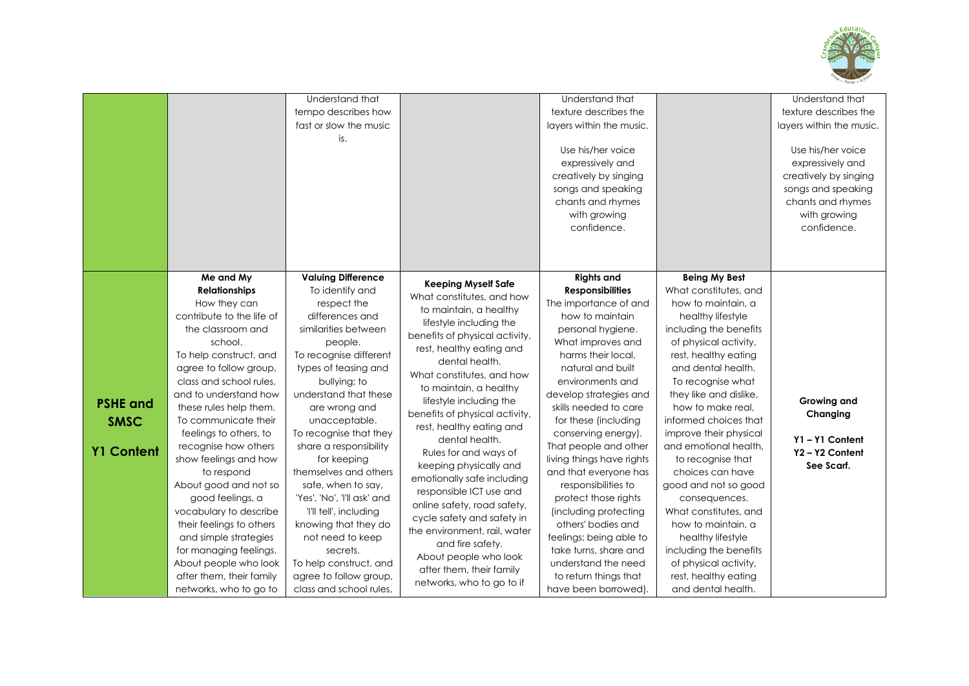

|                                                     |                                                                                                                                                                                                                                                                                                                                                                                                                                                                                                                                                                                                        | Understand that<br>tempo describes how<br>fast or slow the music<br>is.                                                                                                                                                                                                                                                                                                                                                                                                                                                                                          |                                                                                                                                                                                                                                                                                                                                                                                                                                                                                                                                                                                                                                                                               | Understand that<br>texture describes the<br>layers within the music.<br>Use his/her voice<br>expressively and<br>creatively by singing<br>songs and speaking<br>chants and rhymes<br>with growing<br>confidence.                                                                                                                                                                                                                                                                                                                                                                                             |                                                                                                                                                                                                                                                                                                                                                                                                                                                                                                                                                                                                  | Understand that<br>texture describes the<br>layers within the music.<br>Use his/her voice<br>expressively and<br>creatively by singing<br>songs and speaking<br>chants and rhymes<br>with growing<br>confidence. |
|-----------------------------------------------------|--------------------------------------------------------------------------------------------------------------------------------------------------------------------------------------------------------------------------------------------------------------------------------------------------------------------------------------------------------------------------------------------------------------------------------------------------------------------------------------------------------------------------------------------------------------------------------------------------------|------------------------------------------------------------------------------------------------------------------------------------------------------------------------------------------------------------------------------------------------------------------------------------------------------------------------------------------------------------------------------------------------------------------------------------------------------------------------------------------------------------------------------------------------------------------|-------------------------------------------------------------------------------------------------------------------------------------------------------------------------------------------------------------------------------------------------------------------------------------------------------------------------------------------------------------------------------------------------------------------------------------------------------------------------------------------------------------------------------------------------------------------------------------------------------------------------------------------------------------------------------|--------------------------------------------------------------------------------------------------------------------------------------------------------------------------------------------------------------------------------------------------------------------------------------------------------------------------------------------------------------------------------------------------------------------------------------------------------------------------------------------------------------------------------------------------------------------------------------------------------------|--------------------------------------------------------------------------------------------------------------------------------------------------------------------------------------------------------------------------------------------------------------------------------------------------------------------------------------------------------------------------------------------------------------------------------------------------------------------------------------------------------------------------------------------------------------------------------------------------|------------------------------------------------------------------------------------------------------------------------------------------------------------------------------------------------------------------|
| <b>PSHE and</b><br><b>SMSC</b><br><b>Y1 Content</b> | Me and My<br><b>Relationships</b><br>How they can<br>contribute to the life of<br>the classroom and<br>school.<br>To help construct, and<br>agree to follow group,<br>class and school rules,<br>and to understand how<br>these rules help them.<br>To communicate their<br>feelings to others, to<br>recognise how others<br>show feelings and how<br>to respond<br>About good and not so<br>good feelings, a<br>vocabulary to describe<br>their feelings to others<br>and simple strategies<br>for managing feelings.<br>About people who look<br>after them, their family<br>networks, who to go to | <b>Valuing Difference</b><br>To identify and<br>respect the<br>differences and<br>similarities between<br>people.<br>To recognise different<br>types of teasing and<br>bullying; to<br>understand that these<br>are wrong and<br>unacceptable.<br>To recognise that they<br>share a responsibility<br>for keeping<br>themselves and others<br>safe, when to say,<br>'Yes', 'No', 'I'll ask' and<br>'I'll tell', including<br>knowing that they do<br>not need to keep<br>secrets.<br>To help construct, and<br>agree to follow group,<br>class and school rules, | <b>Keeping Myself Safe</b><br>What constitutes, and how<br>to maintain, a healthy<br>lifestyle including the<br>benefits of physical activity,<br>rest, healthy eating and<br>dental health.<br>What constitutes, and how<br>to maintain, a healthy<br>lifestyle including the<br>benefits of physical activity,<br>rest, healthy eating and<br>dental health.<br>Rules for and ways of<br>keeping physically and<br>emotionally safe including<br>responsible ICT use and<br>online safety, road safety,<br>cycle safety and safety in<br>the environment, rail, water<br>and fire safety.<br>About people who look<br>after them, their family<br>networks, who to go to if | <b>Rights and</b><br><b>Responsibilities</b><br>The importance of and<br>how to maintain<br>personal hygiene.<br>What improves and<br>harms their local,<br>natural and built<br>environments and<br>develop strategies and<br>skills needed to care<br>for these (including<br>conserving energy).<br>That people and other<br>living things have rights<br>and that everyone has<br>responsibilities to<br>protect those rights<br>(including protecting<br>others' bodies and<br>feelings; being able to<br>take turns, share and<br>understand the need<br>to return things that<br>have been borrowed). | <b>Being My Best</b><br>What constitutes, and<br>how to maintain, a<br>healthy lifestyle<br>including the benefits<br>of physical activity,<br>rest, healthy eating<br>and dental health.<br>To recognise what<br>they like and dislike,<br>how to make real.<br>informed choices that<br>improve their physical<br>and emotional health,<br>to recognise that<br>choices can have<br>good and not so good<br>consequences.<br>What constitutes, and<br>how to maintain, a<br>healthy lifestyle<br>including the benefits<br>of physical activity,<br>rest, healthy eating<br>and dental health. | <b>Growing and</b><br>Changing<br>Y1-Y1 Content<br>Y2-Y2 Content<br>See Scarf.                                                                                                                                   |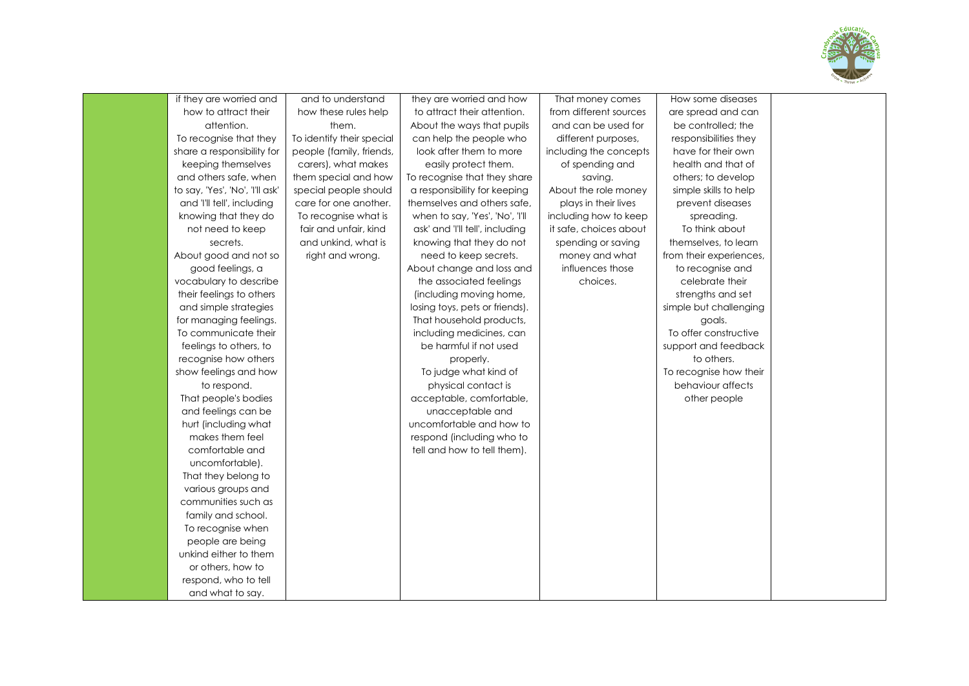

| if they are worried and         | and to understand         | they are worried and how        | That money comes       | How some diseases       |  |
|---------------------------------|---------------------------|---------------------------------|------------------------|-------------------------|--|
| how to attract their            | how these rules help      | to attract their attention.     | from different sources | are spread and can      |  |
| attention.                      | them.                     | About the ways that pupils      | and can be used for    | be controlled; the      |  |
| To recognise that they          | To identify their special | can help the people who         | different purposes,    | responsibilities they   |  |
| share a responsibility for      | people (family, friends,  | look after them to more         | including the concepts | have for their own      |  |
| keeping themselves              | carers), what makes       | easily protect them.            | of spending and        | health and that of      |  |
| and others safe, when           | them special and how      | To recognise that they share    | saving.                | others; to develop      |  |
| to say, 'Yes', 'No', 'I'll ask' | special people should     | a responsibility for keeping    | About the role money   | simple skills to help   |  |
| and 'I'll tell', including      | care for one another.     | themselves and others safe,     | plays in their lives   | prevent diseases        |  |
| knowing that they do            | To recognise what is      | when to say, 'Yes', 'No', 'I'll | including how to keep  | spreading.              |  |
| not need to keep                | fair and unfair, kind     | ask' and 'I'll tell', including | it safe, choices about | To think about          |  |
| secrets.                        | and unkind, what is       | knowing that they do not        | spending or saving     | themselves, to learn    |  |
| About good and not so           | right and wrong.          | need to keep secrets.           | money and what         | from their experiences, |  |
| good feelings, a                |                           | About change and loss and       | influences those       | to recognise and        |  |
| vocabulary to describe          |                           | the associated feelings         | choices.               | celebrate their         |  |
| their feelings to others        |                           | (including moving home,         |                        | strengths and set       |  |
| and simple strategies           |                           | losing toys, pets or friends).  |                        | simple but challenging  |  |
| for managing feelings.          |                           | That household products,        |                        | goals.                  |  |
| To communicate their            |                           | including medicines, can        |                        | To offer constructive   |  |
| feelings to others, to          |                           | be harmful if not used          |                        | support and feedback    |  |
| recognise how others            |                           | properly.                       |                        | to others.              |  |
| show feelings and how           |                           | To judge what kind of           |                        | To recognise how their  |  |
| to respond.                     |                           | physical contact is             |                        | behaviour affects       |  |
| That people's bodies            |                           | acceptable, comfortable,        |                        | other people            |  |
| and feelings can be             |                           | unacceptable and                |                        |                         |  |
| hurt (including what            |                           | uncomfortable and how to        |                        |                         |  |
| makes them feel                 |                           | respond (including who to       |                        |                         |  |
| comfortable and                 |                           | tell and how to tell them).     |                        |                         |  |
| uncomfortable).                 |                           |                                 |                        |                         |  |
| That they belong to             |                           |                                 |                        |                         |  |
| various groups and              |                           |                                 |                        |                         |  |
| communities such as             |                           |                                 |                        |                         |  |
| family and school.              |                           |                                 |                        |                         |  |
| To recognise when               |                           |                                 |                        |                         |  |
| people are being                |                           |                                 |                        |                         |  |
| unkind either to them           |                           |                                 |                        |                         |  |
| or others, how to               |                           |                                 |                        |                         |  |
| respond, who to tell            |                           |                                 |                        |                         |  |
| and what to say.                |                           |                                 |                        |                         |  |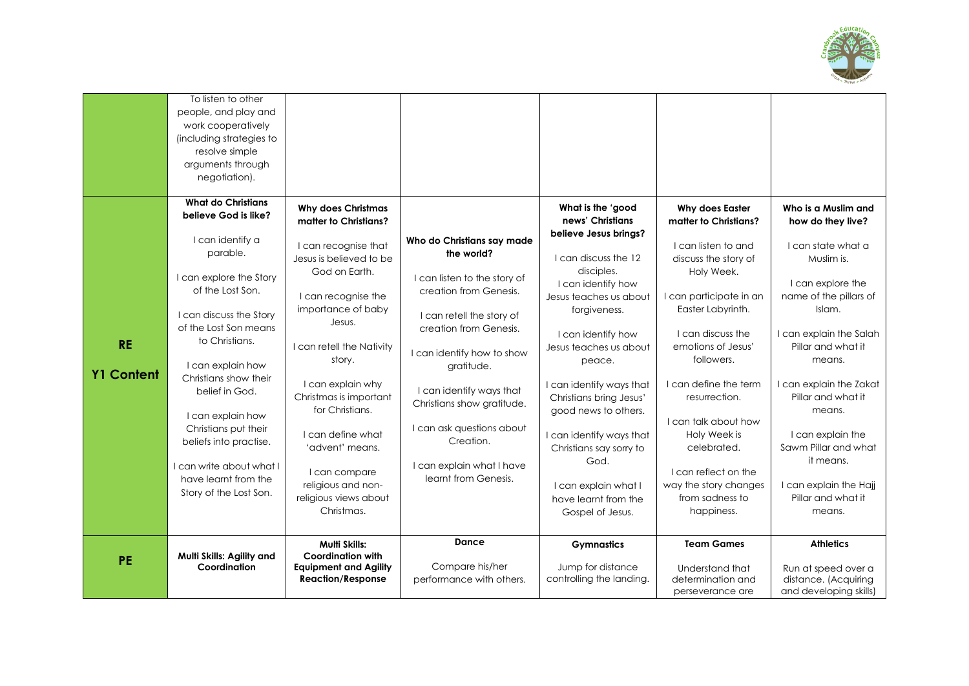

| <b>RE</b><br><b>Y1 Content</b> | To listen to other<br>people, and play and<br>work cooperatively<br>(including strategies to<br>resolve simple<br>arguments through<br>negotiation).<br><b>What do Christians</b><br>believe God is like?<br>I can identify a<br>parable.<br>I can explore the Story<br>of the Lost Son.<br>I can discuss the Story<br>of the Lost Son means<br>to Christians.<br>I can explain how<br>Christians show their<br>belief in God.<br>I can explain how<br>Christians put their<br>beliefs into practise.<br>can write about what I<br>have learnt from the<br>Story of the Lost Son. | <b>Why does Christmas</b><br>matter to Christians?<br>I can recognise that<br>Jesus is believed to be<br>God on Earth.<br>I can recognise the<br>importance of baby<br>Jesus.<br>I can retell the Nativity<br>story.<br>I can explain why<br>Christmas is important<br>for Christians.<br>I can define what<br>'advent' means.<br>I can compare<br>religious and non-<br>religious views about<br>Christmas. | Who do Christians say made<br>the world?<br>I can listen to the story of<br>creation from Genesis.<br>I can retell the story of<br>creation from Genesis.<br>I can identify how to show<br>gratitude.<br>I can identify ways that<br>Christians show gratitude.<br>I can ask questions about<br>Creation.<br>I can explain what I have<br>learnt from Genesis. | What is the 'good<br>news' Christians<br>believe Jesus brings?<br>I can discuss the 12<br>disciples.<br>I can identify how<br>Jesus teaches us about<br>forgiveness.<br>I can identify how<br>Jesus teaches us about<br>peace.<br>I can identify ways that<br>Christians bring Jesus'<br>good news to others.<br>I can identify ways that<br>Christians say sorry to<br>God.<br>I can explain what I<br>have learnt from the<br>Gospel of Jesus. | Why does Easter<br>matter to Christians?<br>I can listen to and<br>discuss the story of<br>Holy Week.<br>I can participate in an<br>Easter Labyrinth.<br>I can discuss the<br>emotions of Jesus'<br>followers.<br>I can define the term<br>resurrection.<br>I can talk about how<br>Holy Week is<br>celebrated.<br>I can reflect on the<br>way the story changes<br>from sadness to<br>happiness. | Who is a Muslim and<br>how do they live?<br>I can state what a<br>Muslim is.<br>I can explore the<br>name of the pillars of<br>Islam.<br>I can explain the Salah<br>Pillar and what it<br>means.<br>I can explain the Zakat<br>Pillar and what it<br>means.<br>I can explain the<br>Sawm Pillar and what<br>it means.<br>I can explain the Hajj<br>Pillar and what it<br>means. |
|--------------------------------|-----------------------------------------------------------------------------------------------------------------------------------------------------------------------------------------------------------------------------------------------------------------------------------------------------------------------------------------------------------------------------------------------------------------------------------------------------------------------------------------------------------------------------------------------------------------------------------|--------------------------------------------------------------------------------------------------------------------------------------------------------------------------------------------------------------------------------------------------------------------------------------------------------------------------------------------------------------------------------------------------------------|----------------------------------------------------------------------------------------------------------------------------------------------------------------------------------------------------------------------------------------------------------------------------------------------------------------------------------------------------------------|--------------------------------------------------------------------------------------------------------------------------------------------------------------------------------------------------------------------------------------------------------------------------------------------------------------------------------------------------------------------------------------------------------------------------------------------------|---------------------------------------------------------------------------------------------------------------------------------------------------------------------------------------------------------------------------------------------------------------------------------------------------------------------------------------------------------------------------------------------------|---------------------------------------------------------------------------------------------------------------------------------------------------------------------------------------------------------------------------------------------------------------------------------------------------------------------------------------------------------------------------------|
|                                |                                                                                                                                                                                                                                                                                                                                                                                                                                                                                                                                                                                   |                                                                                                                                                                                                                                                                                                                                                                                                              |                                                                                                                                                                                                                                                                                                                                                                |                                                                                                                                                                                                                                                                                                                                                                                                                                                  |                                                                                                                                                                                                                                                                                                                                                                                                   |                                                                                                                                                                                                                                                                                                                                                                                 |
| PE                             | Multi Skills: Agility and<br>Coordination                                                                                                                                                                                                                                                                                                                                                                                                                                                                                                                                         | Multi Skills:<br><b>Coordination with</b><br><b>Equipment and Agility</b><br><b>Reaction/Response</b>                                                                                                                                                                                                                                                                                                        | <b>Dance</b><br>Compare his/her<br>performance with others.                                                                                                                                                                                                                                                                                                    | <b>Gymnastics</b><br>Jump for distance<br>controlling the landing.                                                                                                                                                                                                                                                                                                                                                                               | <b>Team Games</b><br>Understand that<br>determination and<br>perseverance are                                                                                                                                                                                                                                                                                                                     | <b>Athletics</b><br>Run at speed over a<br>distance. (Acquiring<br>and developing skills)                                                                                                                                                                                                                                                                                       |